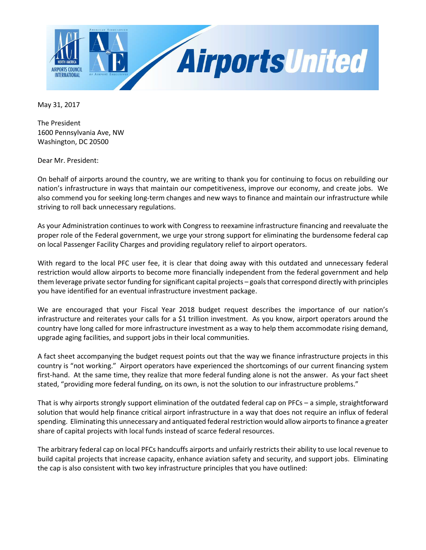

May 31, 2017

The President 1600 Pennsylvania Ave, NW Washington, DC 20500

Dear Mr. President:

On behalf of airports around the country, we are writing to thank you for continuing to focus on rebuilding our nation's infrastructure in ways that maintain our competitiveness, improve our economy, and create jobs. We also commend you for seeking long-term changes and new ways to finance and maintain our infrastructure while striving to roll back unnecessary regulations.

As your Administration continues to work with Congress to reexamine infrastructure financing and reevaluate the proper role of the Federal government, we urge your strong support for eliminating the burdensome federal cap on local Passenger Facility Charges and providing regulatory relief to airport operators.

With regard to the local PFC user fee, it is clear that doing away with this outdated and unnecessary federal restriction would allow airports to become more financially independent from the federal government and help them leverage private sector funding for significant capital projects – goals that correspond directly with principles you have identified for an eventual infrastructure investment package.

We are encouraged that your Fiscal Year 2018 budget request describes the importance of our nation's infrastructure and reiterates your calls for a \$1 trillion investment. As you know, airport operators around the country have long called for more infrastructure investment as a way to help them accommodate rising demand, upgrade aging facilities, and support jobs in their local communities.

A fact sheet accompanying the budget request points out that the way we finance infrastructure projects in this country is "not working." Airport operators have experienced the shortcomings of our current financing system first-hand. At the same time, they realize that more federal funding alone is not the answer. As your fact sheet stated, "providing more federal funding, on its own, is not the solution to our infrastructure problems."

That is why airports strongly support elimination of the outdated federal cap on PFCs – a simple, straightforward solution that would help finance critical airport infrastructure in a way that does not require an influx of federal spending. Eliminating this unnecessary and antiquated federal restriction would allow airports to finance a greater share of capital projects with local funds instead of scarce federal resources.

The arbitrary federal cap on local PFCs handcuffs airports and unfairly restricts their ability to use local revenue to build capital projects that increase capacity, enhance aviation safety and security, and support jobs. Eliminating the cap is also consistent with two key infrastructure principles that you have outlined: